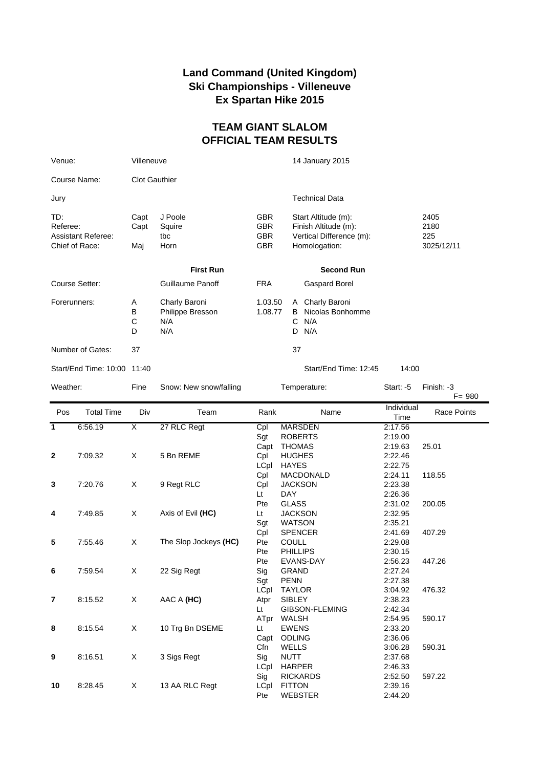## **Land Command (United Kingdom) Ski Championships - Villeneuve Ex Spartan Hike 2015**

## **TEAM GIANT SLALOM OFFICIAL TEAM RESULTS**

| Venue:                                                         | Villeneuve           |                                                 |                                                      | 14 January 2015                                                                          |             |                                   |  |
|----------------------------------------------------------------|----------------------|-------------------------------------------------|------------------------------------------------------|------------------------------------------------------------------------------------------|-------------|-----------------------------------|--|
| Course Name:                                                   | <b>Clot Gauthier</b> |                                                 |                                                      |                                                                                          |             |                                   |  |
| Jury                                                           |                      |                                                 |                                                      | <b>Technical Data</b>                                                                    |             |                                   |  |
| TD:<br>Referee:<br><b>Assistant Referee:</b><br>Chief of Race: | Capt<br>Capt<br>Maj  | J Poole<br>Squire<br>tbc<br>Horn                | <b>GBR</b><br><b>GBR</b><br><b>GBR</b><br><b>GBR</b> | Start Altitude (m):<br>Finish Altitude (m):<br>Vertical Difference (m):<br>Homologation: |             | 2405<br>2180<br>225<br>3025/12/11 |  |
|                                                                |                      | <b>First Run</b>                                |                                                      | <b>Second Run</b>                                                                        |             |                                   |  |
| Course Setter:                                                 |                      | Guillaume Panoff                                | <b>FRA</b>                                           | Gaspard Borel                                                                            |             |                                   |  |
| Forerunners:                                                   | Α<br>В<br>С<br>D     | Charly Baroni<br>Philippe Bresson<br>N/A<br>N/A | 1.03.50<br>1.08.77                                   | Charly Baroni<br>A<br>Nicolas Bonhomme<br>B<br>N/A<br>С<br>D<br>N/A                      |             |                                   |  |
| Number of Gates:                                               | 37                   |                                                 |                                                      | 37                                                                                       |             |                                   |  |
| Start/End Time: 10:00 11:40                                    |                      |                                                 |                                                      | Start/End Time: 12:45                                                                    | 14:00       |                                   |  |
| Weather:                                                       | Fine                 | Snow: New snow/falling                          |                                                      | Temperature:                                                                             | Start: $-5$ | Finish: -3<br>$F = 980$           |  |

| Pos            | <b>Total Time</b> | Div                     | Team                  | Rank | Name                  | Individual<br>Time | <b>Race Points</b> |
|----------------|-------------------|-------------------------|-----------------------|------|-----------------------|--------------------|--------------------|
| $\mathbf{1}$   | 6:56.19           | $\overline{\mathsf{x}}$ | 27 RLC Regt           | Cpl  | <b>MARSDEN</b>        | 2:17.56            |                    |
|                |                   |                         |                       | Sgt  | <b>ROBERTS</b>        | 2:19.00            |                    |
|                |                   |                         |                       | Capt | <b>THOMAS</b>         | 2:19.63            | 25.01              |
| $\mathbf{2}$   | 7:09.32           | X                       | 5 Bn REME             | Cpl  | <b>HUGHES</b>         | 2:22.46            |                    |
|                |                   |                         |                       | LCpl | <b>HAYES</b>          | 2:22.75            |                    |
|                |                   |                         |                       | Cpl  | <b>MACDONALD</b>      | 2:24.11            | 118.55             |
| 3              | 7:20.76           | X                       | 9 Regt RLC            | Cpl  | <b>JACKSON</b>        | 2:23.38            |                    |
|                |                   |                         |                       | Lt   | <b>DAY</b>            | 2:26.36            |                    |
|                |                   |                         |                       | Pte  | <b>GLASS</b>          | 2:31.02            | 200.05             |
| 4              | 7:49.85           | X                       | Axis of Evil (HC)     | Lt   | <b>JACKSON</b>        | 2:32.95            |                    |
|                |                   |                         |                       | Sgt  | <b>WATSON</b>         | 2:35.21            |                    |
|                |                   |                         |                       | Cpl  | <b>SPENCER</b>        | 2:41.69            | 407.29             |
| 5              | 7:55.46           | X                       | The Slop Jockeys (HC) | Pte  | <b>COULL</b>          | 2:29.08            |                    |
|                |                   |                         |                       | Pte  | <b>PHILLIPS</b>       | 2:30.15            |                    |
|                |                   |                         |                       | Pte  | EVANS-DAY             | 2:56.23            | 447.26             |
| 6              | 7:59.54           | X                       | 22 Sig Regt           | Sig  | <b>GRAND</b>          | 2:27.24            |                    |
|                |                   |                         |                       | Sgt  | <b>PENN</b>           | 2:27.38            |                    |
|                |                   |                         |                       | LCpl | <b>TAYLOR</b>         | 3:04.92            | 476.32             |
| $\overline{7}$ | 8:15.52           | X                       | AAC A (HC)            | Atpr | <b>SIBLEY</b>         | 2:38.23            |                    |
|                |                   |                         |                       | Lt   | <b>GIBSON-FLEMING</b> | 2:42.34            |                    |
|                |                   |                         |                       | ATpr | WALSH                 | 2:54.95            | 590.17             |
| 8              | 8:15.54           | X                       | 10 Trg Bn DSEME       | Lt   | <b>EWENS</b>          | 2:33.20            |                    |
|                |                   |                         |                       | Capt | <b>ODLING</b>         | 2:36.06            |                    |
|                |                   |                         |                       | Cfn  | <b>WELLS</b>          | 3:06.28            | 590.31             |
| 9              | 8:16.51           | X                       | 3 Sigs Regt           | Sig  | <b>NUTT</b>           | 2:37.68            |                    |
|                |                   |                         |                       | LCpl | <b>HARPER</b>         | 2:46.33            |                    |
|                |                   |                         |                       | Sig  | <b>RICKARDS</b>       | 2:52.50            | 597.22             |
| 10             | 8:28.45           | X                       | 13 AA RLC Regt        | LCpl | <b>FITTON</b>         | 2:39.16            |                    |
|                |                   |                         |                       | Pte  | <b>WEBSTER</b>        | 2:44.20            |                    |